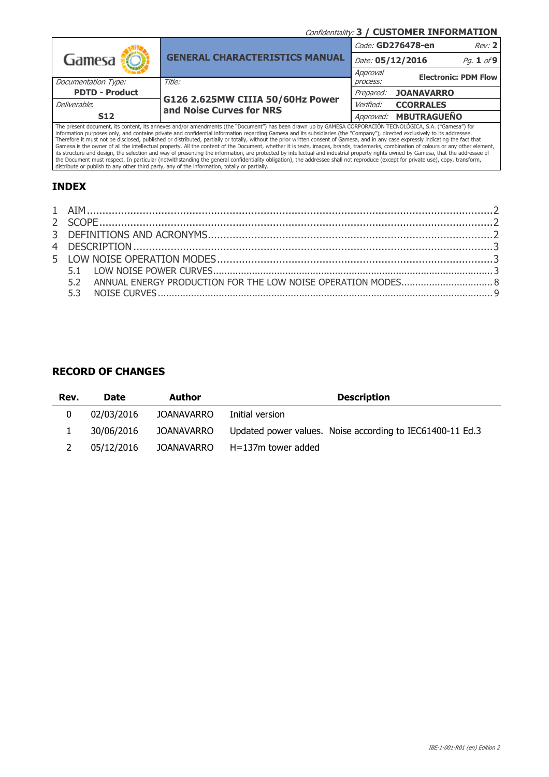Confidentiality: 3 / CUSTOMER INFORMATION

|                       |                                                                                                                                                            | Code: GD276478-en | Rev: 2                      |            |
|-----------------------|------------------------------------------------------------------------------------------------------------------------------------------------------------|-------------------|-----------------------------|------------|
| Gamesa                | <b>GENERAL CHARACTERISTICS MANUAL</b>                                                                                                                      | Date: 05/12/2016  |                             | Pq. 1 of 9 |
|                       |                                                                                                                                                            | Approval          | <b>Electronic: PDM Flow</b> |            |
| Documentation Type:   | Title:                                                                                                                                                     | process:          |                             |            |
| <b>PDTD - Product</b> |                                                                                                                                                            | Prepared:         | <b>JOANAVARRO</b>           |            |
| Deliverable:          | G126 2.625MW CIIIA 50/60Hz Power<br>and Noise Curves for NRS                                                                                               | <i>Verified:</i>  | <b>CCORRALES</b>            |            |
| <b>S12</b>            |                                                                                                                                                            |                   | Approved: MBUTRAGUEÑO       |            |
|                       | The present document, its content, its annexes and/or amendments (the "Document") has been drawn up by GAMESA CORPORACIÓN TECNOLÓGICA, S.A. ("Gamesa") for |                   |                             |            |

The present document, its content, its annexes and/or amendments (the "Document") has been drawn up by GAMESA CORPORACION TECNOLOGICA, S.A. ("Gamesa") for<br>information purposes only, and contains private and confidential in

# INDEX

## RECORD OF CHANGES

| Rev. | <b>Date</b> | Author     | <b>Description</b>                                        |
|------|-------------|------------|-----------------------------------------------------------|
| 0    | 02/03/2016  | JOANAVARRO | Initial version                                           |
|      | 30/06/2016  | JOANAVARRO | Updated power values. Noise according to IEC61400-11 Ed.3 |
|      | 05/12/2016  | JOANAVARRO | H=137m tower added                                        |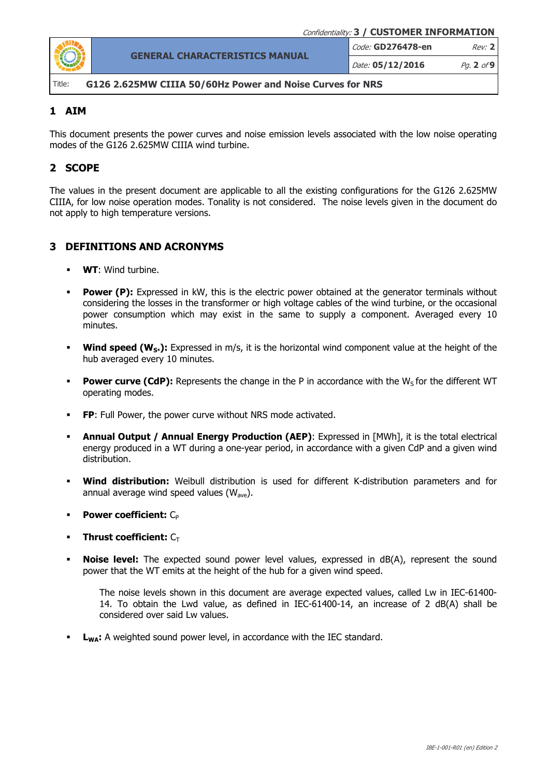

Date: 05/12/2016 Pg. 2 of 9

#### Title: G126 2.625MW CIIIA 50/60Hz Power and Noise Curves for NRS

## 1 AIM

This document presents the power curves and noise emission levels associated with the low noise operating modes of the G126 2.625MW CIIIA wind turbine.

# 2 SCOPE

The values in the present document are applicable to all the existing configurations for the G126 2.625MW CIIIA, for low noise operation modes. Tonality is not considered. The noise levels given in the document do not apply to high temperature versions.

## 3 DEFINITIONS AND ACRONYMS

- WT: Wind turbine.
- **Power (P):** Expressed in kW, this is the electric power obtained at the generator terminals without considering the losses in the transformer or high voltage cables of the wind turbine, or the occasional power consumption which may exist in the same to supply a component. Averaged every 10 minutes.
- **Wind speed (W<sub>S</sub>.):** Expressed in m/s, it is the horizontal wind component value at the height of the hub averaged every 10 minutes.
- **Power curve (CdP):** Represents the change in the P in accordance with the  $W<sub>5</sub>$  for the different WT operating modes.
- FP: Full Power, the power curve without NRS mode activated.
- **Annual Output / Annual Energy Production (AEP):** Expressed in [MWh], it is the total electrical energy produced in a WT during a one-year period, in accordance with a given CdP and a given wind distribution.
- Wind distribution: Weibull distribution is used for different K-distribution parameters and for annual average wind speed values  $(W_{ave})$ .
- **Power coefficient:**  $C_P$
- Thrust coefficient:  $C_{\text{T}}$
- **Noise level:** The expected sound power level values, expressed in dB(A), represent the sound power that the WT emits at the height of the hub for a given wind speed.

The noise levels shown in this document are average expected values, called Lw in IEC-61400- 14. To obtain the Lwd value, as defined in IEC-61400-14, an increase of 2 dB(A) shall be considered over said Lw values.

**L<sub>WA</sub>:** A weighted sound power level, in accordance with the IEC standard.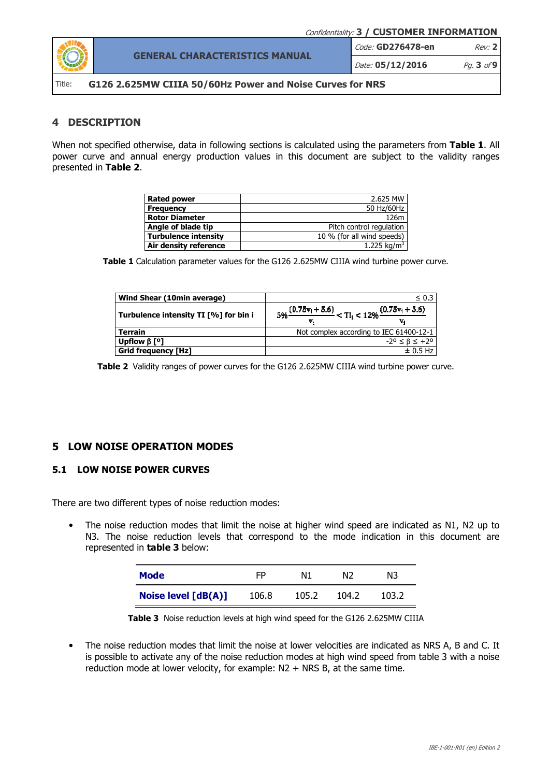

Date: 05/12/2016 Pg. 3 of 9

Title: G126 2.625MW CIIIA 50/60Hz Power and Noise Curves for NRS

### 4 DESCRIPTION

When not specified otherwise, data in following sections is calculated using the parameters from Table 1. All power curve and annual energy production values in this document are subject to the validity ranges presented in Table 2.

| <b>Rated power</b>          | 2.625 MW                   |
|-----------------------------|----------------------------|
| <b>Frequency</b>            | 50 Hz/60Hz                 |
| <b>Rotor Diameter</b>       | 126m                       |
| Angle of blade tip          | Pitch control regulation   |
| <b>Turbulence intensity</b> | 10 % (for all wind speeds) |
| Air density reference       | 1.225 kg/m <sup>3</sup>    |

Table 1 Calculation parameter values for the G126 2.625MW CIIIA wind turbine power curve.

| Wind Shear (10min average)            | $\leq 0.3$                                                                    |
|---------------------------------------|-------------------------------------------------------------------------------|
| Turbulence intensity TI [%] for bin i | $5\% \frac{(0.75v_1 + 5.6)}{1000} < Tl_1 < 12\% \frac{(0.75v_1 + 5.6)}{1000}$ |
| <b>Terrain</b>                        | Not complex according to IEC 61400-12-1                                       |
| Upflow $\beta$ [ <sup>o</sup> ]       | $-2^{\circ} \leq \beta \leq +2^{\circ}$                                       |
| <b>Grid frequency [Hz]</b>            | $\pm$ 0.5 Hz                                                                  |

Table 2 Validity ranges of power curves for the G126 2.625MW CIIIA wind turbine power curve.

#### 5 LOW NOISE OPERATION MODES

### 5.1 LOW NOISE POWER CURVES

There are two different types of noise reduction modes:

• The noise reduction modes that limit the noise at higher wind speed are indicated as N1, N2 up to N3. The noise reduction levels that correspond to the mode indication in this document are represented in **table 3** below:

| Mode                  | FP    | Ν1    | N2    | NЗ    |
|-----------------------|-------|-------|-------|-------|
| Noise level $[dB(A)]$ | 106.8 | 105.2 | 104.2 | 103.2 |

Table 3 Noise reduction levels at high wind speed for the G126 2.625MW CIIIA

• The noise reduction modes that limit the noise at lower velocities are indicated as NRS A, B and C. It is possible to activate any of the noise reduction modes at high wind speed from table 3 with a noise reduction mode at lower velocity, for example: N2 + NRS B, at the same time.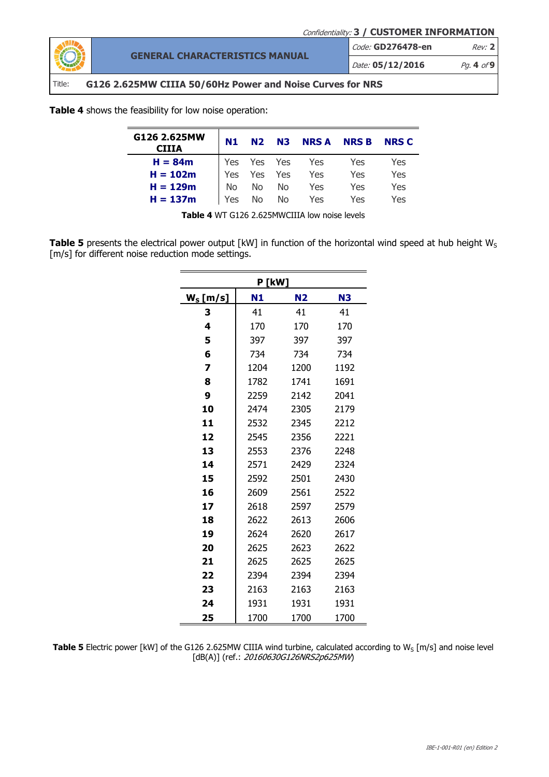Confidentiality: 3 / CUSTOMER INFORMATION

Code: GD276478-en Rev: 2



GENERAL CHARACTERISTICS MANUAL

## Title: G126 2.625MW CIIIA 50/60Hz Power and Noise Curves for NRS

Table 4 shows the feasibility for low noise operation:

| G126 2.625MW<br><b>CIIIA</b> | N1         |       | N2 N3 NRSA NRSB                                    |     | <b>NRS C</b> |
|------------------------------|------------|-------|----------------------------------------------------|-----|--------------|
| $H = 84m$                    |            |       |                                                    | Yes | Yes          |
| $H = 102m$                   |            |       | Yes Yes Yes Yes<br>Yes Yes Yes Yes<br>No No No Yes | Yes | Yes          |
| $H = 129m$                   |            |       | Yes                                                | Yes | Yes          |
| $H = 137m$                   | <b>Yes</b> | No No | Yes                                                | Yes | Yes          |

Table 4 WT G126 2.625MWCIIIA low noise levels

Table 5 presents the electrical power output [kW] in function of the horizontal wind speed at hub height  $W_S$ [m/s] for different noise reduction mode settings.

| P [kW]      |      |           |                |  |  |  |  |  |
|-------------|------|-----------|----------------|--|--|--|--|--|
| $W_s$ [m/s] | N1   | <b>N2</b> | N <sub>3</sub> |  |  |  |  |  |
| 3           | 41   | 41        | 41             |  |  |  |  |  |
| 4           | 170  | 170       | 170            |  |  |  |  |  |
| 5           | 397  | 397       | 397            |  |  |  |  |  |
| 6           | 734  | 734       | 734            |  |  |  |  |  |
| 7           | 1204 | 1200      | 1192           |  |  |  |  |  |
| 8           | 1782 | 1741      | 1691           |  |  |  |  |  |
| 9           | 2259 | 2142      | 2041           |  |  |  |  |  |
| 10          | 2474 | 2305      | 2179           |  |  |  |  |  |
| 11          | 2532 | 2345      | 2212           |  |  |  |  |  |
| 12          | 2545 | 2356      | 2221           |  |  |  |  |  |
| 13          | 2553 | 2376      | 2248           |  |  |  |  |  |
| 14          | 2571 | 2429      | 2324           |  |  |  |  |  |
| 15          | 2592 | 2501      | 2430           |  |  |  |  |  |
| 16          | 2609 | 2561      | 2522           |  |  |  |  |  |
| 17          | 2618 | 2597      | 2579           |  |  |  |  |  |
| 18          | 2622 | 2613      | 2606           |  |  |  |  |  |
| 19          | 2624 | 2620      | 2617           |  |  |  |  |  |
| 20          | 2625 | 2623      | 2622           |  |  |  |  |  |
| 21          | 2625 | 2625      | 2625           |  |  |  |  |  |
| 22          | 2394 | 2394      | 2394           |  |  |  |  |  |
| 23          | 2163 | 2163      | 2163           |  |  |  |  |  |
| 24          | 1931 | 1931      | 1931           |  |  |  |  |  |
| 25          | 1700 | 1700      | 1700           |  |  |  |  |  |

Table 5 Electric power [kW] of the G126 2.625MW CIIIA wind turbine, calculated according to W<sub>S</sub> [m/s] and noise level [dB(A)] (ref.: 20160630G126NRS2p625MW)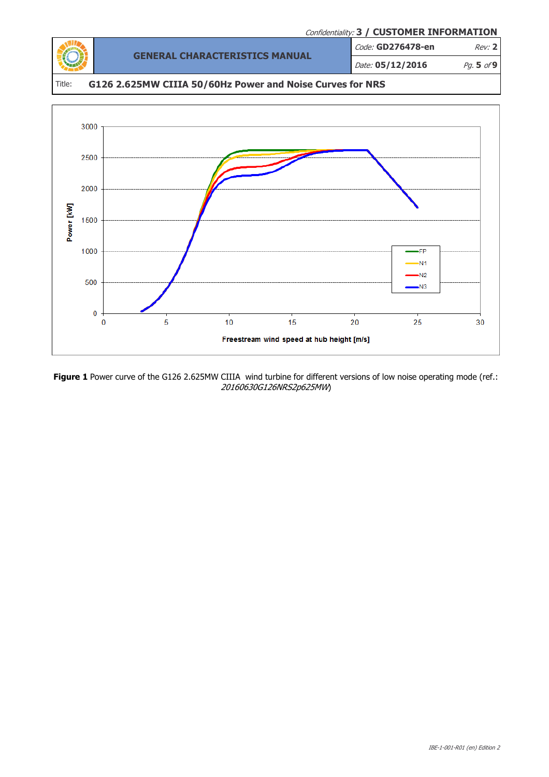

Figure 1 Power curve of the G126 2.625MW CIIIA wind turbine for different versions of low noise operating mode (ref.: 20160630G126NRS2p625MW)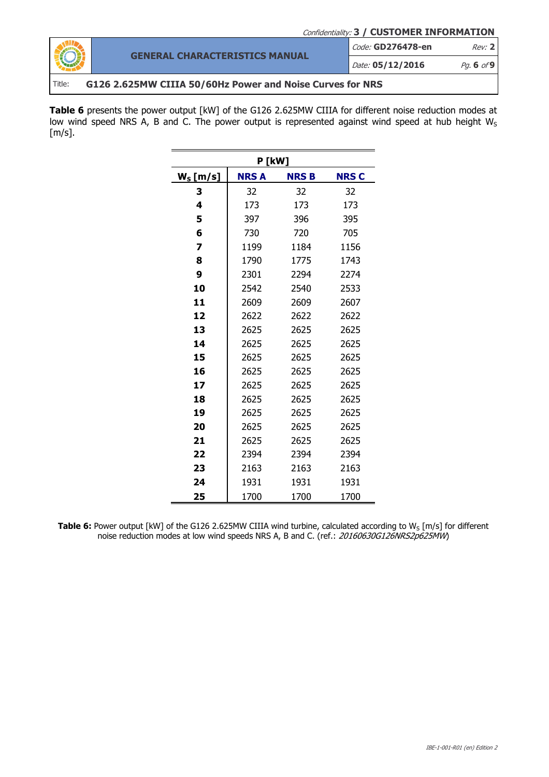

Code: GD276478-en Rev: 2

Date: 05/12/2016 Pg. 6 of 9

### Title: G126 2.625MW CIIIA 50/60Hz Power and Noise Curves for NRS

Table 6 presents the power output [kW] of the G126 2.625MW CIIIA for different noise reduction modes at low wind speed NRS A, B and C. The power output is represented against wind speed at hub height  $W_S$  $[m/s]$ .

| P [kW]      |             |       |             |  |  |  |  |
|-------------|-------------|-------|-------------|--|--|--|--|
| $W_s$ [m/s] | <b>NRSA</b> | NRS B | <b>NRSC</b> |  |  |  |  |
| 3           | 32          | 32    | 32          |  |  |  |  |
| 4           | 173         | 173   | 173         |  |  |  |  |
| 5           | 397         | 396   | 395         |  |  |  |  |
| 6           | 730         | 720   | 705         |  |  |  |  |
| 7           | 1199        | 1184  | 1156        |  |  |  |  |
| 8           | 1790        | 1775  | 1743        |  |  |  |  |
| 9           | 2301        | 2294  | 2274        |  |  |  |  |
| 10          | 2542        | 2540  | 2533        |  |  |  |  |
| 11          | 2609        | 2609  | 2607        |  |  |  |  |
| 12          | 2622        | 2622  | 2622        |  |  |  |  |
| 13          | 2625        | 2625  | 2625        |  |  |  |  |
| 14          | 2625        | 2625  | 2625        |  |  |  |  |
| 15          | 2625        | 2625  | 2625        |  |  |  |  |
| 16          | 2625        | 2625  | 2625        |  |  |  |  |
| 17          | 2625        | 2625  | 2625        |  |  |  |  |
| 18          | 2625        | 2625  | 2625        |  |  |  |  |
| 19          | 2625        | 2625  | 2625        |  |  |  |  |
| 20          | 2625        | 2625  | 2625        |  |  |  |  |
| 21          | 2625        | 2625  | 2625        |  |  |  |  |
| 22          | 2394        | 2394  | 2394        |  |  |  |  |
| 23          | 2163        | 2163  | 2163        |  |  |  |  |
| 24          | 1931        | 1931  | 1931        |  |  |  |  |
| 25          | 1700        | 1700  | 1700        |  |  |  |  |

Table 6: Power output [kW] of the G126 2.625MW CIIIA wind turbine, calculated according to  $W_S$  [m/s] for different noise reduction modes at low wind speeds NRS A, B and C. (ref.: 20160630G126NRS2p625MW)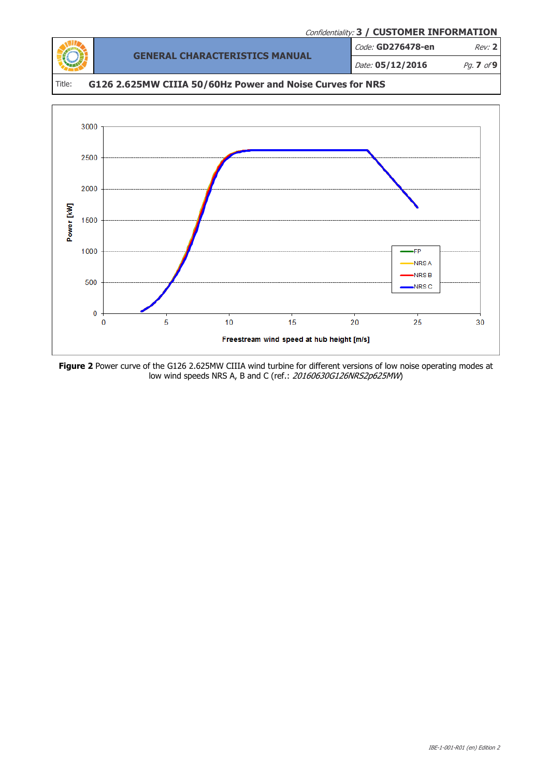



Figure 2 Power curve of the G126 2.625MW CIIIA wind turbine for different versions of low noise operating modes at low wind speeds NRS A, B and C (ref.: 20160630G126NRS2p625MW)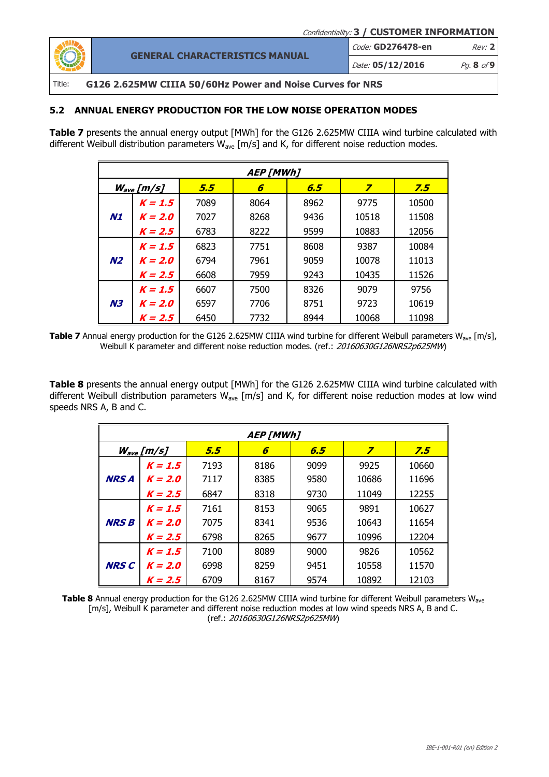

# Code: **GD276478-en** Rev: 2

Date: 05/12/2016 Pg. 8 of 9

### Title: G126 2.625MW CIIIA 50/60Hz Power and Noise Curves for NRS

GENERAL CHARACTERISTICS MANUAL

#### 5.2 ANNUAL ENERGY PRODUCTION FOR THE LOW NOISE OPERATION MODES

Table 7 presents the annual energy output [MWh] for the G126 2.625MW CIIIA wind turbine calculated with different Weibull distribution parameters  $W_{ave}$  [m/s] and K, for different noise reduction modes.

| <b>AEP [MWh]</b> |                       |      |      |      |       |       |  |
|------------------|-----------------------|------|------|------|-------|-------|--|
|                  | $W_{\text{ave}}[m/s]$ | 5.5  | 6    | 6.5  | 7     | 7.5   |  |
|                  | $K = 1.5$             | 7089 | 8064 | 8962 | 9775  | 10500 |  |
| N1               | $K = 2.0$             | 7027 | 8268 | 9436 | 10518 | 11508 |  |
|                  | $K = 2.5$             | 6783 | 8222 | 9599 | 10883 | 12056 |  |
|                  | $K = 1.5$             | 6823 | 7751 | 8608 | 9387  | 10084 |  |
| N <sub>2</sub>   | $K = 2.0$             | 6794 | 7961 | 9059 | 10078 | 11013 |  |
|                  | $K = 2.5$             | 6608 | 7959 | 9243 | 10435 | 11526 |  |
|                  | $K = 1.5$             | 6607 | 7500 | 8326 | 9079  | 9756  |  |
| <b>N3</b>        | $K = 2.0$             | 6597 | 7706 | 8751 | 9723  | 10619 |  |
|                  | $K = 2.5$             | 6450 | 7732 | 8944 | 10068 | 11098 |  |

**Table 7** Annual energy production for the G126 2.625MW CIIIA wind turbine for different Weibull parameters W<sub>ave</sub> [m/s], Weibull K parameter and different noise reduction modes. (ref.: 20160630G126NRS2p625MW)

Table 8 presents the annual energy output [MWh] for the G126 2.625MW CIIIA wind turbine calculated with different Weibull distribution parameters  $W_{ave}$  [m/s] and K, for different noise reduction modes at low wind speeds NRS A, B and C.

| <b>AEP [MWh]</b> |                |      |      |      |       |       |  |
|------------------|----------------|------|------|------|-------|-------|--|
|                  | $W_{ave}[m/s]$ | 5.5  | 6    | 6.5  | 7     | 7.5   |  |
|                  | $K = 1.5$      | 7193 | 8186 | 9099 | 9925  | 10660 |  |
| <b>NRS A</b>     | $K = 2.0$      | 7117 | 8385 | 9580 | 10686 | 11696 |  |
|                  | $K = 2.5$      | 6847 | 8318 | 9730 | 11049 | 12255 |  |
|                  | $K = 1.5$      | 7161 | 8153 | 9065 | 9891  | 10627 |  |
| <b>NRS B</b>     | $K = 2.0$      | 7075 | 8341 | 9536 | 10643 | 11654 |  |
|                  | $K = 2.5$      | 6798 | 8265 | 9677 | 10996 | 12204 |  |
|                  | $K = 1.5$      | 7100 | 8089 | 9000 | 9826  | 10562 |  |
| <b>NRS C</b>     | $K = 2.0$      | 6998 | 8259 | 9451 | 10558 | 11570 |  |
|                  | $K = 2.5$      | 6709 | 8167 | 9574 | 10892 | 12103 |  |

Table 8 Annual energy production for the G126 2.625MW CIIIA wind turbine for different Weibull parameters W<sub>ave</sub> [m/s], Weibull K parameter and different noise reduction modes at low wind speeds NRS A, B and C. (ref.: 20160630G126NRS2p625MW)